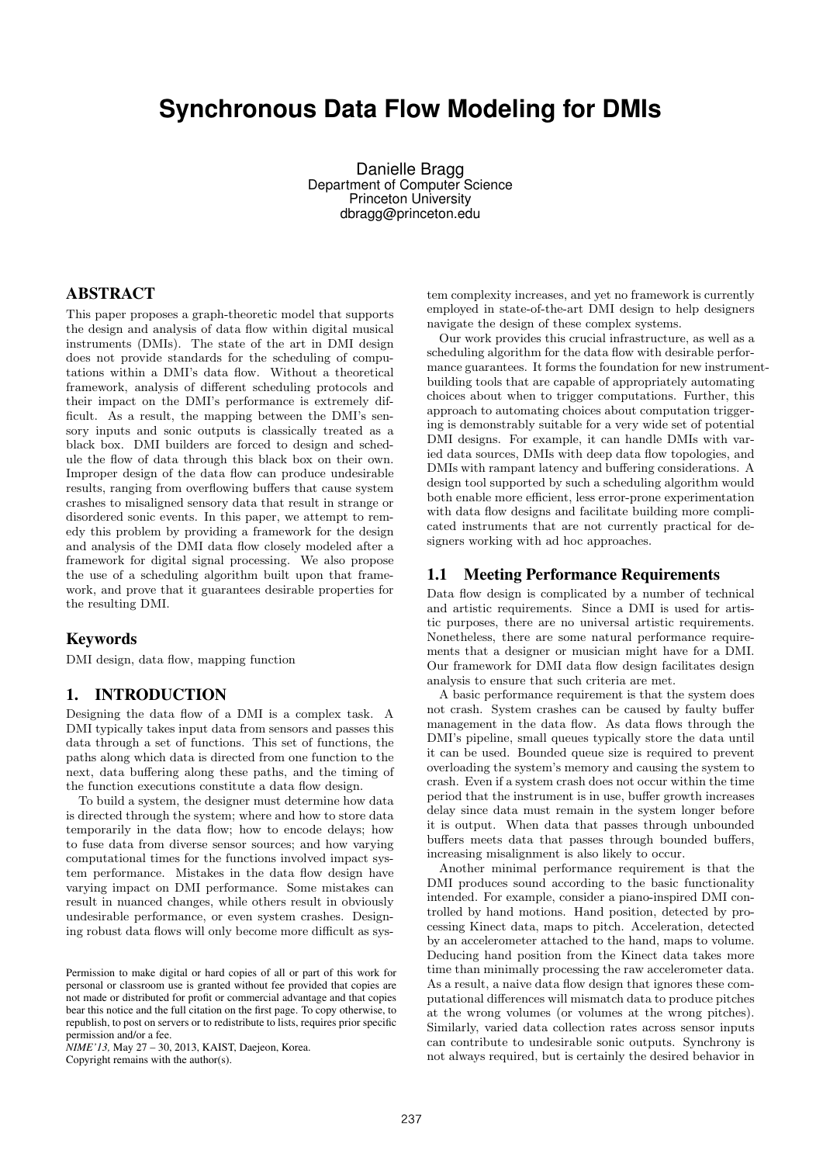# **Synchronous Data Flow Modeling for DMIs**

Danielle Bragg Department of Computer Science Princeton University dbragg@princeton.edu

### ABSTRACT

This paper proposes a graph-theoretic model that supports the design and analysis of data flow within digital musical instruments (DMIs). The state of the art in DMI design does not provide standards for the scheduling of computations within a DMI's data flow. Without a theoretical framework, analysis of different scheduling protocols and their impact on the DMI's performance is extremely difficult. As a result, the mapping between the DMI's sensory inputs and sonic outputs is classically treated as a black box. DMI builders are forced to design and schedule the flow of data through this black box on their own. Improper design of the data flow can produce undesirable results, ranging from overflowing buffers that cause system crashes to misaligned sensory data that result in strange or disordered sonic events. In this paper, we attempt to remedy this problem by providing a framework for the design and analysis of the DMI data flow closely modeled after a framework for digital signal processing. We also propose the use of a scheduling algorithm built upon that framework, and prove that it guarantees desirable properties for the resulting DMI.

#### Keywords

DMI design, data flow, mapping function

# 1. INTRODUCTION

Designing the data flow of a DMI is a complex task. A DMI typically takes input data from sensors and passes this data through a set of functions. This set of functions, the paths along which data is directed from one function to the next, data buffering along these paths, and the timing of the function executions constitute a data flow design.

To build a system, the designer must determine how data is directed through the system; where and how to store data temporarily in the data flow; how to encode delays; how to fuse data from diverse sensor sources; and how varying computational times for the functions involved impact system performance. Mistakes in the data flow design have varying impact on DMI performance. Some mistakes can result in nuanced changes, while others result in obviously undesirable performance, or even system crashes. Designing robust data flows will only become more difficult as sys-

*NIME'13,* May 27 – 30, 2013, KAIST, Daejeon, Korea. Copyright remains with the author(s).

tem complexity increases, and yet no framework is currently employed in state-of-the-art DMI design to help designers navigate the design of these complex systems.

Our work provides this crucial infrastructure, as well as a scheduling algorithm for the data flow with desirable performance guarantees. It forms the foundation for new instrumentbuilding tools that are capable of appropriately automating choices about when to trigger computations. Further, this approach to automating choices about computation triggering is demonstrably suitable for a very wide set of potential DMI designs. For example, it can handle DMIs with varied data sources, DMIs with deep data flow topologies, and DMIs with rampant latency and buffering considerations. A design tool supported by such a scheduling algorithm would both enable more efficient, less error-prone experimentation with data flow designs and facilitate building more complicated instruments that are not currently practical for designers working with ad hoc approaches.

### 1.1 Meeting Performance Requirements

Data flow design is complicated by a number of technical and artistic requirements. Since a DMI is used for artistic purposes, there are no universal artistic requirements. Nonetheless, there are some natural performance requirements that a designer or musician might have for a DMI. Our framework for DMI data flow design facilitates design analysis to ensure that such criteria are met.

A basic performance requirement is that the system does not crash. System crashes can be caused by faulty buffer management in the data flow. As data flows through the DMI's pipeline, small queues typically store the data until it can be used. Bounded queue size is required to prevent overloading the system's memory and causing the system to crash. Even if a system crash does not occur within the time period that the instrument is in use, buffer growth increases delay since data must remain in the system longer before it is output. When data that passes through unbounded buffers meets data that passes through bounded buffers, increasing misalignment is also likely to occur.

Another minimal performance requirement is that the DMI produces sound according to the basic functionality intended. For example, consider a piano-inspired DMI controlled by hand motions. Hand position, detected by processing Kinect data, maps to pitch. Acceleration, detected by an accelerometer attached to the hand, maps to volume. Deducing hand position from the Kinect data takes more time than minimally processing the raw accelerometer data. As a result, a naive data flow design that ignores these computational differences will mismatch data to produce pitches at the wrong volumes (or volumes at the wrong pitches). Similarly, varied data collection rates across sensor inputs can contribute to undesirable sonic outputs. Synchrony is not always required, but is certainly the desired behavior in

Permission to make digital or hard copies of all or part of this work for personal or classroom use is granted without fee provided that copies are not made or distributed for profit or commercial advantage and that copies bear this notice and the full citation on the first page. To copy otherwise, to republish, to post on servers or to redistribute to lists, requires prior specific permission and/or a fee.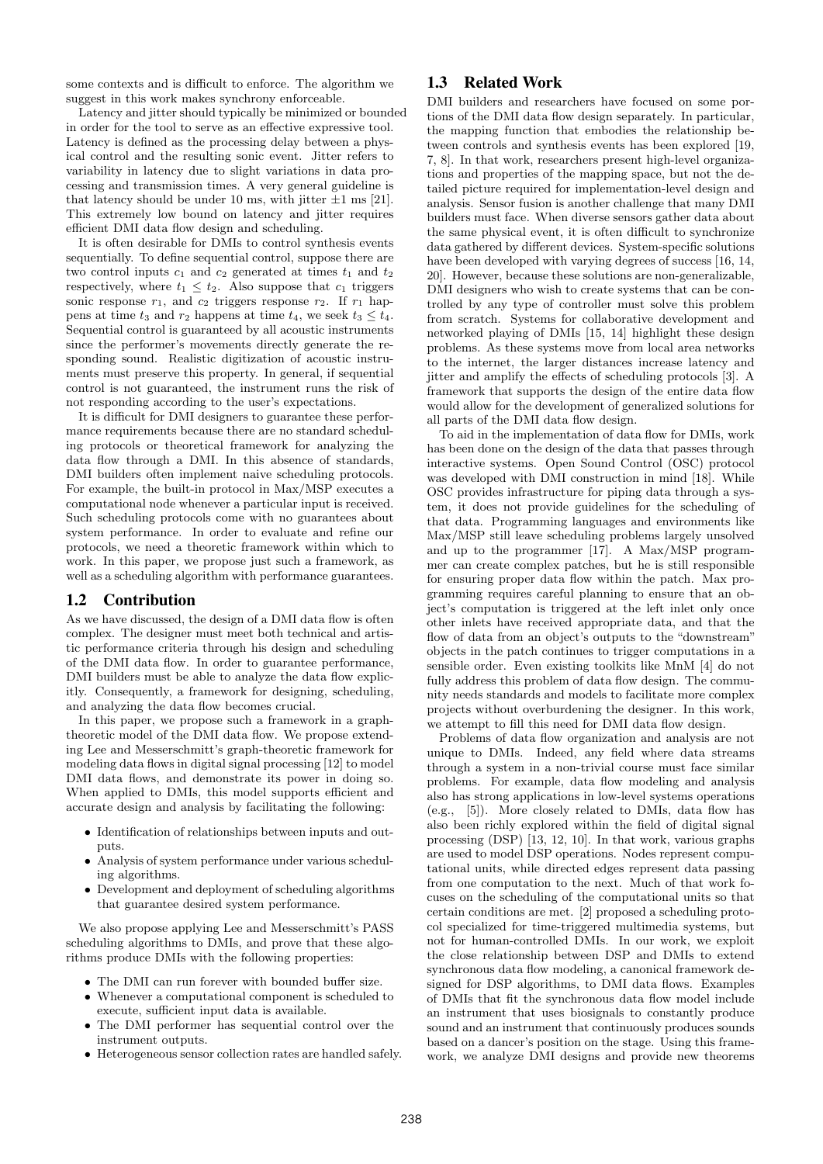some contexts and is difficult to enforce. The algorithm we suggest in this work makes synchrony enforceable.

Latency and jitter should typically be minimized or bounded in order for the tool to serve as an effective expressive tool. Latency is defined as the processing delay between a physical control and the resulting sonic event. Jitter refers to variability in latency due to slight variations in data processing and transmission times. A very general guideline is that latency should be under 10 ms, with jitter  $\pm 1$  ms [21]. This extremely low bound on latency and jitter requires efficient DMI data flow design and scheduling.

It is often desirable for DMIs to control synthesis events sequentially. To define sequential control, suppose there are two control inputs  $c_1$  and  $c_2$  generated at times  $t_1$  and  $t_2$ respectively, where  $t_1 \leq t_2$ . Also suppose that  $c_1$  triggers sonic response  $r_1$ , and  $c_2$  triggers response  $r_2$ . If  $r_1$  happens at time  $t_3$  and  $r_2$  happens at time  $t_4$ , we seek  $t_3 \leq t_4$ . Sequential control is guaranteed by all acoustic instruments since the performer's movements directly generate the responding sound. Realistic digitization of acoustic instruments must preserve this property. In general, if sequential control is not guaranteed, the instrument runs the risk of not responding according to the user's expectations.

It is difficult for DMI designers to guarantee these performance requirements because there are no standard scheduling protocols or theoretical framework for analyzing the data flow through a DMI. In this absence of standards, DMI builders often implement naive scheduling protocols. For example, the built-in protocol in Max/MSP executes a computational node whenever a particular input is received. Such scheduling protocols come with no guarantees about system performance. In order to evaluate and refine our protocols, we need a theoretic framework within which to work. In this paper, we propose just such a framework, as well as a scheduling algorithm with performance guarantees.

#### 1.2 Contribution

As we have discussed, the design of a DMI data flow is often complex. The designer must meet both technical and artistic performance criteria through his design and scheduling of the DMI data flow. In order to guarantee performance, DMI builders must be able to analyze the data flow explicitly. Consequently, a framework for designing, scheduling, and analyzing the data flow becomes crucial.

In this paper, we propose such a framework in a graphtheoretic model of the DMI data flow. We propose extending Lee and Messerschmitt's graph-theoretic framework for modeling data flows in digital signal processing [12] to model DMI data flows, and demonstrate its power in doing so. When applied to DMIs, this model supports efficient and accurate design and analysis by facilitating the following:

- Identification of relationships between inputs and outputs.
- Analysis of system performance under various scheduling algorithms.
- Development and deployment of scheduling algorithms that guarantee desired system performance.

We also propose applying Lee and Messerschmitt's PASS scheduling algorithms to DMIs, and prove that these algorithms produce DMIs with the following properties:

- The DMI can run forever with bounded buffer size.
- Whenever a computational component is scheduled to execute, sufficient input data is available.
- The DMI performer has sequential control over the instrument outputs.
- Heterogeneous sensor collection rates are handled safely.

# 1.3 Related Work

DMI builders and researchers have focused on some portions of the DMI data flow design separately. In particular, the mapping function that embodies the relationship between controls and synthesis events has been explored [19, 7, 8]. In that work, researchers present high-level organizations and properties of the mapping space, but not the detailed picture required for implementation-level design and analysis. Sensor fusion is another challenge that many DMI builders must face. When diverse sensors gather data about the same physical event, it is often difficult to synchronize data gathered by different devices. System-specific solutions have been developed with varying degrees of success [16, 14, 20]. However, because these solutions are non-generalizable, DMI designers who wish to create systems that can be controlled by any type of controller must solve this problem from scratch. Systems for collaborative development and networked playing of DMIs [15, 14] highlight these design problems. As these systems move from local area networks to the internet, the larger distances increase latency and jitter and amplify the effects of scheduling protocols [3]. A framework that supports the design of the entire data flow would allow for the development of generalized solutions for all parts of the DMI data flow design.

To aid in the implementation of data flow for DMIs, work has been done on the design of the data that passes through interactive systems. Open Sound Control (OSC) protocol was developed with DMI construction in mind [18]. While OSC provides infrastructure for piping data through a system, it does not provide guidelines for the scheduling of that data. Programming languages and environments like Max/MSP still leave scheduling problems largely unsolved and up to the programmer [17]. A Max/MSP programmer can create complex patches, but he is still responsible for ensuring proper data flow within the patch. Max programming requires careful planning to ensure that an object's computation is triggered at the left inlet only once other inlets have received appropriate data, and that the flow of data from an object's outputs to the "downstream" objects in the patch continues to trigger computations in a sensible order. Even existing toolkits like MnM [4] do not fully address this problem of data flow design. The community needs standards and models to facilitate more complex projects without overburdening the designer. In this work, we attempt to fill this need for DMI data flow design.

Problems of data flow organization and analysis are not unique to DMIs. Indeed, any field where data streams through a system in a non-trivial course must face similar problems. For example, data flow modeling and analysis also has strong applications in low-level systems operations (e.g., [5]). More closely related to DMIs, data flow has also been richly explored within the field of digital signal processing (DSP) [13, 12, 10]. In that work, various graphs are used to model DSP operations. Nodes represent computational units, while directed edges represent data passing from one computation to the next. Much of that work focuses on the scheduling of the computational units so that certain conditions are met. [2] proposed a scheduling protocol specialized for time-triggered multimedia systems, but not for human-controlled DMIs. In our work, we exploit the close relationship between DSP and DMIs to extend synchronous data flow modeling, a canonical framework designed for DSP algorithms, to DMI data flows. Examples of DMIs that fit the synchronous data flow model include an instrument that uses biosignals to constantly produce sound and an instrument that continuously produces sounds based on a dancer's position on the stage. Using this framework, we analyze DMI designs and provide new theorems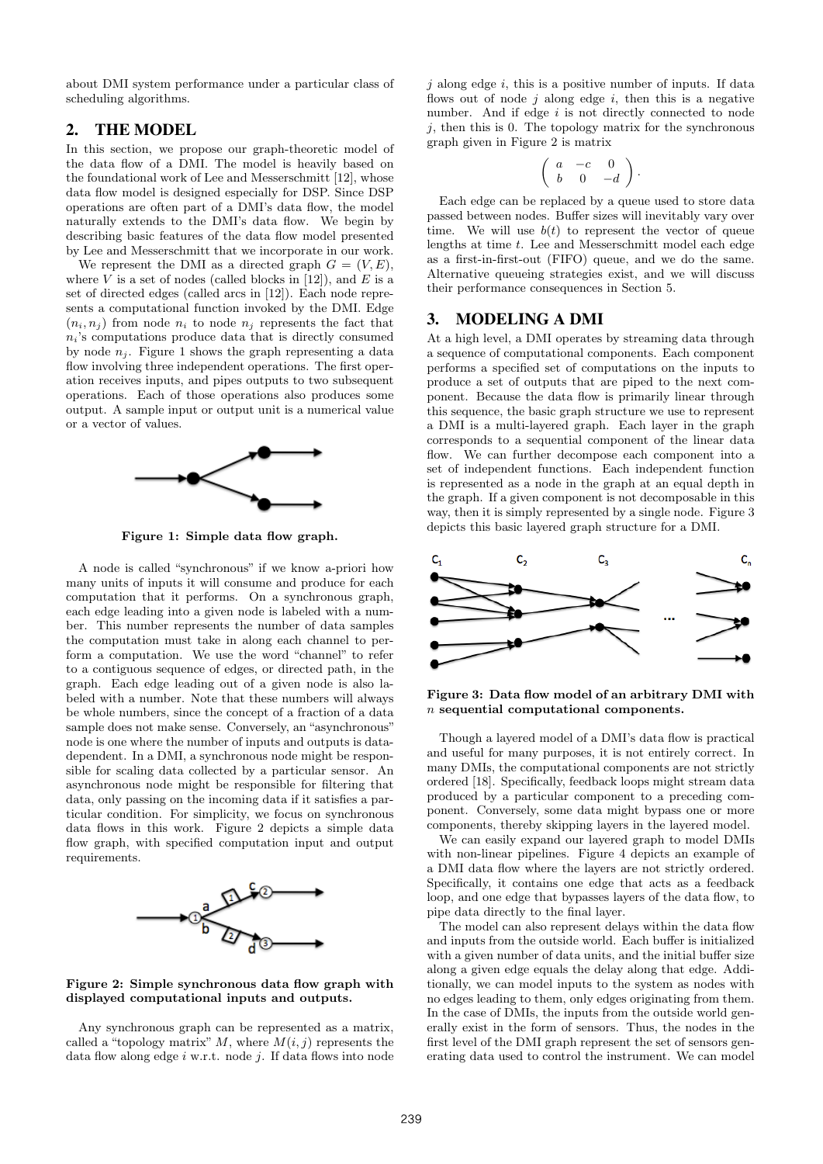about DMI system performance under a particular class of scheduling algorithms.

# 2. THE MODEL

In this section, we propose our graph-theoretic model of the data flow of a DMI. The model is heavily based on the foundational work of Lee and Messerschmitt [12], whose data flow model is designed especially for DSP. Since DSP operations are often part of a DMI's data flow, the model naturally extends to the DMI's data flow. We begin by describing basic features of the data flow model presented by Lee and Messerschmitt that we incorporate in our work.

We represent the DMI as a directed graph  $G = (V, E)$ , where  $V$  is a set of nodes (called blocks in [12]), and  $E$  is a set of directed edges (called arcs in [12]). Each node represents a computational function invoked by the DMI. Edge  $(n_i, n_j)$  from node  $n_i$  to node  $n_j$  represents the fact that  $n_i$ 's computations produce data that is directly consumed by node  $n_i$ . Figure 1 shows the graph representing a data flow involving three independent operations. The first operation receives inputs, and pipes outputs to two subsequent operations. Each of those operations also produces some output. A sample input or output unit is a numerical value or a vector of values.



Figure 1: Simple data flow graph.

A node is called "synchronous" if we know a-priori how many units of inputs it will consume and produce for each computation that it performs. On a synchronous graph, each edge leading into a given node is labeled with a number. This number represents the number of data samples the computation must take in along each channel to perform a computation. We use the word "channel" to refer to a contiguous sequence of edges, or directed path, in the graph. Each edge leading out of a given node is also labeled with a number. Note that these numbers will always be whole numbers, since the concept of a fraction of a data sample does not make sense. Conversely, an "asynchronous" node is one where the number of inputs and outputs is datadependent. In a DMI, a synchronous node might be responsible for scaling data collected by a particular sensor. An asynchronous node might be responsible for filtering that data, only passing on the incoming data if it satisfies a particular condition. For simplicity, we focus on synchronous data flows in this work. Figure 2 depicts a simple data flow graph, with specified computation input and output requirements.



#### Figure 2: Simple synchronous data flow graph with displayed computational inputs and outputs.

Any synchronous graph can be represented as a matrix, called a "topology matrix"  $M$ , where  $M(i, j)$  represents the data flow along edge  $i$  w.r.t. node  $j$ . If data flows into node  $j$  along edge  $i$ , this is a positive number of inputs. If data flows out of node  $j$  along edge  $i$ , then this is a negative number. And if edge  $i$  is not directly connected to node  $j$ , then this is 0. The topology matrix for the synchronous graph given in Figure 2 is matrix

$$
\left(\begin{array}{ccc} a & -c & 0 \\ b & 0 & -d \end{array}\right).
$$

Each edge can be replaced by a queue used to store data passed between nodes. Buffer sizes will inevitably vary over time. We will use  $b(t)$  to represent the vector of queue lengths at time t. Lee and Messerschmitt model each edge as a first-in-first-out (FIFO) queue, and we do the same. Alternative queueing strategies exist, and we will discuss their performance consequences in Section 5.

#### 3. MODELING A DMI

At a high level, a DMI operates by streaming data through a sequence of computational components. Each component performs a specified set of computations on the inputs to produce a set of outputs that are piped to the next component. Because the data flow is primarily linear through this sequence, the basic graph structure we use to represent a DMI is a multi-layered graph. Each layer in the graph corresponds to a sequential component of the linear data flow. We can further decompose each component into a set of independent functions. Each independent function is represented as a node in the graph at an equal depth in the graph. If a given component is not decomposable in this way, then it is simply represented by a single node. Figure 3 depicts this basic layered graph structure for a DMI.



Figure 3: Data flow model of an arbitrary DMI with n sequential computational components.

Though a layered model of a DMI's data flow is practical and useful for many purposes, it is not entirely correct. In many DMIs, the computational components are not strictly ordered [18]. Specifically, feedback loops might stream data produced by a particular component to a preceding component. Conversely, some data might bypass one or more components, thereby skipping layers in the layered model.

We can easily expand our layered graph to model DMIs with non-linear pipelines. Figure 4 depicts an example of a DMI data flow where the layers are not strictly ordered. Specifically, it contains one edge that acts as a feedback loop, and one edge that bypasses layers of the data flow, to pipe data directly to the final layer.

The model can also represent delays within the data flow and inputs from the outside world. Each buffer is initialized with a given number of data units, and the initial buffer size along a given edge equals the delay along that edge. Additionally, we can model inputs to the system as nodes with no edges leading to them, only edges originating from them. In the case of DMIs, the inputs from the outside world generally exist in the form of sensors. Thus, the nodes in the first level of the DMI graph represent the set of sensors generating data used to control the instrument. We can model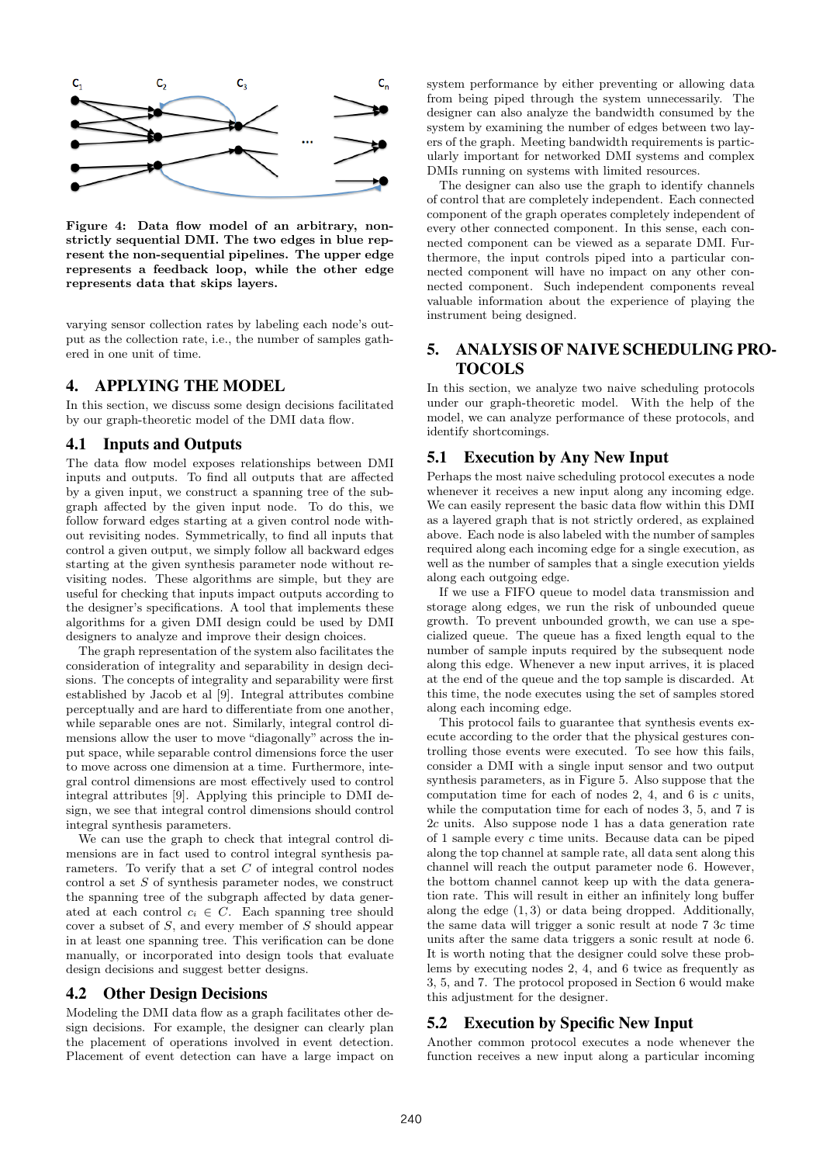

Figure 4: Data flow model of an arbitrary, nonstrictly sequential DMI. The two edges in blue represent the non-sequential pipelines. The upper edge represents a feedback loop, while the other edge represents data that skips layers.

varying sensor collection rates by labeling each node's output as the collection rate, i.e., the number of samples gathered in one unit of time.

# 4. APPLYING THE MODEL

In this section, we discuss some design decisions facilitated by our graph-theoretic model of the DMI data flow.

### 4.1 Inputs and Outputs

The data flow model exposes relationships between DMI inputs and outputs. To find all outputs that are affected by a given input, we construct a spanning tree of the subgraph affected by the given input node. To do this, we follow forward edges starting at a given control node without revisiting nodes. Symmetrically, to find all inputs that control a given output, we simply follow all backward edges starting at the given synthesis parameter node without revisiting nodes. These algorithms are simple, but they are useful for checking that inputs impact outputs according to the designer's specifications. A tool that implements these algorithms for a given DMI design could be used by DMI designers to analyze and improve their design choices.

The graph representation of the system also facilitates the consideration of integrality and separability in design decisions. The concepts of integrality and separability were first established by Jacob et al [9]. Integral attributes combine perceptually and are hard to differentiate from one another, while separable ones are not. Similarly, integral control dimensions allow the user to move "diagonally" across the input space, while separable control dimensions force the user to move across one dimension at a time. Furthermore, integral control dimensions are most effectively used to control integral attributes [9]. Applying this principle to DMI design, we see that integral control dimensions should control integral synthesis parameters.

We can use the graph to check that integral control dimensions are in fact used to control integral synthesis parameters. To verify that a set  $C$  of integral control nodes control a set  $S$  of synthesis parameter nodes, we construct the spanning tree of the subgraph affected by data generated at each control  $c_i \in C$ . Each spanning tree should cover a subset of S, and every member of S should appear in at least one spanning tree. This verification can be done manually, or incorporated into design tools that evaluate design decisions and suggest better designs.

### 4.2 Other Design Decisions

Modeling the DMI data flow as a graph facilitates other design decisions. For example, the designer can clearly plan the placement of operations involved in event detection. Placement of event detection can have a large impact on system performance by either preventing or allowing data from being piped through the system unnecessarily. The designer can also analyze the bandwidth consumed by the system by examining the number of edges between two layers of the graph. Meeting bandwidth requirements is particularly important for networked DMI systems and complex DMIs running on systems with limited resources.

The designer can also use the graph to identify channels of control that are completely independent. Each connected component of the graph operates completely independent of every other connected component. In this sense, each connected component can be viewed as a separate DMI. Furthermore, the input controls piped into a particular connected component will have no impact on any other connected component. Such independent components reveal valuable information about the experience of playing the instrument being designed.

# 5. ANALYSIS OF NAIVE SCHEDULING PRO-TOCOLS

In this section, we analyze two naive scheduling protocols under our graph-theoretic model. With the help of the model, we can analyze performance of these protocols, and identify shortcomings.

# 5.1 Execution by Any New Input

Perhaps the most naive scheduling protocol executes a node whenever it receives a new input along any incoming edge. We can easily represent the basic data flow within this DMI as a layered graph that is not strictly ordered, as explained above. Each node is also labeled with the number of samples required along each incoming edge for a single execution, as well as the number of samples that a single execution yields along each outgoing edge.

If we use a FIFO queue to model data transmission and storage along edges, we run the risk of unbounded queue growth. To prevent unbounded growth, we can use a specialized queue. The queue has a fixed length equal to the number of sample inputs required by the subsequent node along this edge. Whenever a new input arrives, it is placed at the end of the queue and the top sample is discarded. At this time, the node executes using the set of samples stored along each incoming edge.

This protocol fails to guarantee that synthesis events execute according to the order that the physical gestures controlling those events were executed. To see how this fails, consider a DMI with a single input sensor and two output synthesis parameters, as in Figure 5. Also suppose that the computation time for each of nodes 2, 4, and 6 is c units, while the computation time for each of nodes 3, 5, and 7 is 2c units. Also suppose node 1 has a data generation rate of 1 sample every c time units. Because data can be piped along the top channel at sample rate, all data sent along this channel will reach the output parameter node 6. However, the bottom channel cannot keep up with the data generation rate. This will result in either an infinitely long buffer along the edge (1, 3) or data being dropped. Additionally, the same data will trigger a sonic result at node 7 3c time units after the same data triggers a sonic result at node 6. It is worth noting that the designer could solve these problems by executing nodes 2, 4, and 6 twice as frequently as 3, 5, and 7. The protocol proposed in Section 6 would make this adjustment for the designer.

# 5.2 Execution by Specific New Input

Another common protocol executes a node whenever the function receives a new input along a particular incoming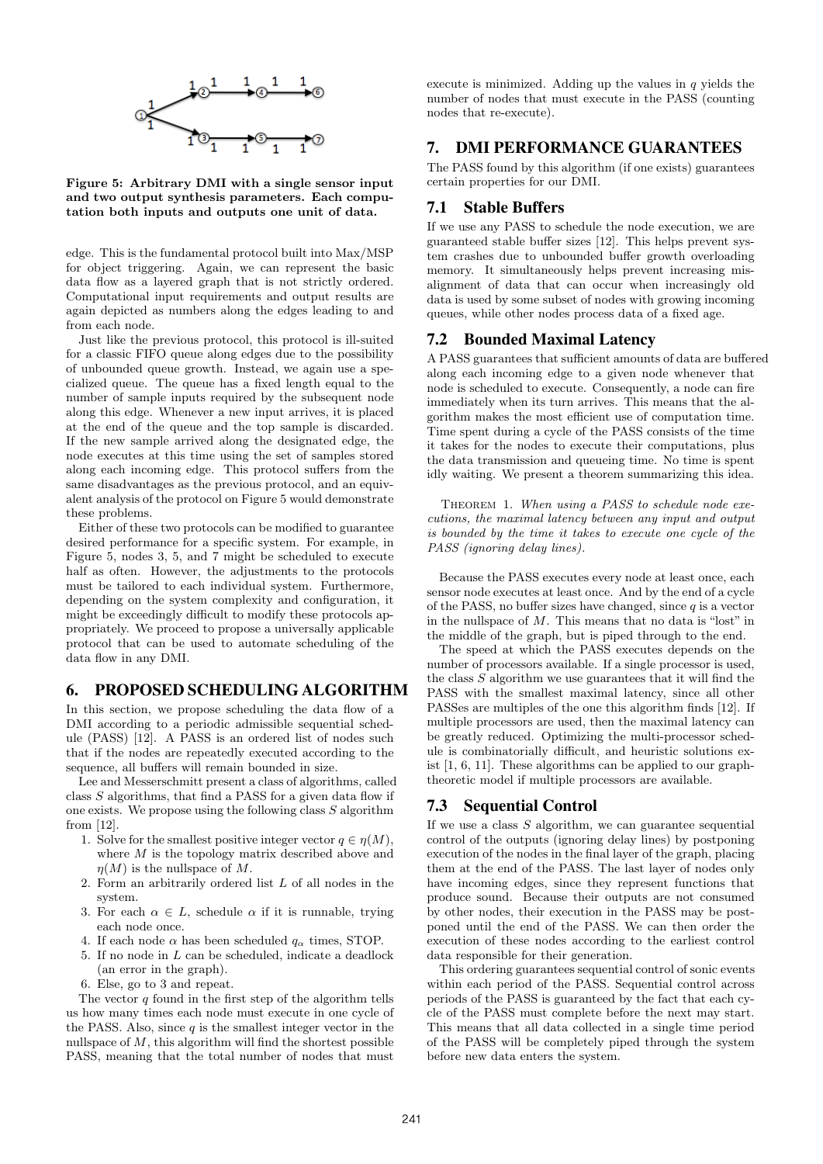

Figure 5: Arbitrary DMI with a single sensor input and two output synthesis parameters. Each computation both inputs and outputs one unit of data.

edge. This is the fundamental protocol built into Max/MSP for object triggering. Again, we can represent the basic data flow as a layered graph that is not strictly ordered. Computational input requirements and output results are again depicted as numbers along the edges leading to and from each node.

Just like the previous protocol, this protocol is ill-suited for a classic FIFO queue along edges due to the possibility of unbounded queue growth. Instead, we again use a specialized queue. The queue has a fixed length equal to the number of sample inputs required by the subsequent node along this edge. Whenever a new input arrives, it is placed at the end of the queue and the top sample is discarded. If the new sample arrived along the designated edge, the node executes at this time using the set of samples stored along each incoming edge. This protocol suffers from the same disadvantages as the previous protocol, and an equivalent analysis of the protocol on Figure 5 would demonstrate these problems.

Either of these two protocols can be modified to guarantee desired performance for a specific system. For example, in Figure 5, nodes 3, 5, and 7 might be scheduled to execute half as often. However, the adjustments to the protocols must be tailored to each individual system. Furthermore, depending on the system complexity and configuration, it might be exceedingly difficult to modify these protocols appropriately. We proceed to propose a universally applicable protocol that can be used to automate scheduling of the data flow in any DMI.

# 6. PROPOSED SCHEDULING ALGORITHM

In this section, we propose scheduling the data flow of a DMI according to a periodic admissible sequential schedule (PASS) [12]. A PASS is an ordered list of nodes such that if the nodes are repeatedly executed according to the sequence, all buffers will remain bounded in size.

Lee and Messerschmitt present a class of algorithms, called class  $S$  algorithms, that find a PASS for a given data flow if one exists. We propose using the following class  $S$  algorithm from [12].

- 1. Solve for the smallest positive integer vector  $q \in \eta(M)$ , where  $M$  is the topology matrix described above and  $\eta(M)$  is the nullspace of M.
- 2. Form an arbitrarily ordered list L of all nodes in the system.
- 3. For each  $\alpha \in L$ , schedule  $\alpha$  if it is runnable, trying each node once.
- 4. If each node  $\alpha$  has been scheduled  $q_{\alpha}$  times, STOP.
- 5. If no node in L can be scheduled, indicate a deadlock (an error in the graph).
- 6. Else, go to 3 and repeat.

The vector  $q$  found in the first step of the algorithm tells us how many times each node must execute in one cycle of the PASS. Also, since  $q$  is the smallest integer vector in the nullspace of  $M$ , this algorithm will find the shortest possible PASS, meaning that the total number of nodes that must execute is minimized. Adding up the values in  $q$  yields the number of nodes that must execute in the PASS (counting nodes that re-execute).

# 7. DMI PERFORMANCE GUARANTEES

The PASS found by this algorithm (if one exists) guarantees certain properties for our DMI.

### 7.1 Stable Buffers

If we use any PASS to schedule the node execution, we are guaranteed stable buffer sizes [12]. This helps prevent system crashes due to unbounded buffer growth overloading memory. It simultaneously helps prevent increasing misalignment of data that can occur when increasingly old data is used by some subset of nodes with growing incoming queues, while other nodes process data of a fixed age.

# 7.2 Bounded Maximal Latency

A PASS guarantees that sufficient amounts of data are buffered along each incoming edge to a given node whenever that node is scheduled to execute. Consequently, a node can fire immediately when its turn arrives. This means that the algorithm makes the most efficient use of computation time. Time spent during a cycle of the PASS consists of the time it takes for the nodes to execute their computations, plus the data transmission and queueing time. No time is spent idly waiting. We present a theorem summarizing this idea.

THEOREM 1. When using a PASS to schedule node executions, the maximal latency between any input and output is bounded by the time it takes to execute one cycle of the PASS (ignoring delay lines).

Because the PASS executes every node at least once, each sensor node executes at least once. And by the end of a cycle of the PASS, no buffer sizes have changed, since  $q$  is a vector in the nullspace of M. This means that no data is "lost" in the middle of the graph, but is piped through to the end.

The speed at which the PASS executes depends on the number of processors available. If a single processor is used, the class  $S$  algorithm we use guarantees that it will find the PASS with the smallest maximal latency, since all other PASSes are multiples of the one this algorithm finds [12]. If multiple processors are used, then the maximal latency can be greatly reduced. Optimizing the multi-processor schedule is combinatorially difficult, and heuristic solutions exist [1, 6, 11]. These algorithms can be applied to our graphtheoretic model if multiple processors are available.

# 7.3 Sequential Control

If we use a class  $S$  algorithm, we can guarantee sequential control of the outputs (ignoring delay lines) by postponing execution of the nodes in the final layer of the graph, placing them at the end of the PASS. The last layer of nodes only have incoming edges, since they represent functions that produce sound. Because their outputs are not consumed by other nodes, their execution in the PASS may be postponed until the end of the PASS. We can then order the execution of these nodes according to the earliest control data responsible for their generation.

This ordering guarantees sequential control of sonic events within each period of the PASS. Sequential control across periods of the PASS is guaranteed by the fact that each cycle of the PASS must complete before the next may start. This means that all data collected in a single time period of the PASS will be completely piped through the system before new data enters the system.